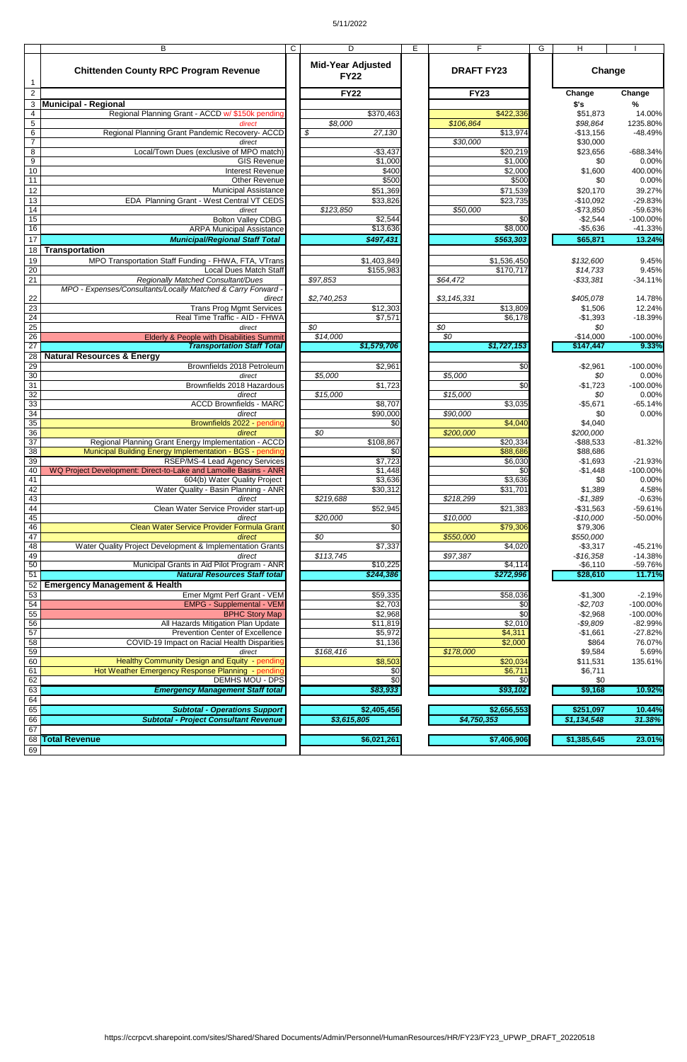## 5/11/2022

|                                    | B                                                                                                 | $\mathsf{C}$ | D                                             |                 | E | F                                     | G | H                       |                        |
|------------------------------------|---------------------------------------------------------------------------------------------------|--------------|-----------------------------------------------|-----------------|---|---------------------------------------|---|-------------------------|------------------------|
|                                    | <b>Chittenden County RPC Program Revenue</b>                                                      |              | <b>Mid-Year Adjusted</b><br><b>FY22</b>       |                 |   | <b>DRAFT FY23</b>                     |   | Change                  |                        |
| $\overline{2}$                     |                                                                                                   |              | <b>FY22</b>                                   |                 |   | <b>FY23</b>                           |   | Change                  | Change                 |
| 3                                  | <b>Municipal - Regional</b>                                                                       |              |                                               |                 |   |                                       |   | \$'s                    | %                      |
| $\overline{4}$                     | Regional Planning Grant - ACCD w/ \$150k pending                                                  |              | \$370,463                                     |                 |   | \$422,336                             |   | \$51,873                | 14.00%                 |
| $\sqrt{5}$<br>$\overline{6}$       | direct<br>Regional Planning Grant Pandemic Recovery- ACCD                                         |              | \$8,000<br>$\overline{\mathcal{S}}$<br>27,130 |                 |   | \$106,864<br>\$13,974                 |   | \$98,864<br>$-$13,156$  | 1235.80%<br>$-48.49%$  |
| $\overline{7}$                     | direct                                                                                            |              |                                               |                 |   | \$30,000                              |   | \$30,000                |                        |
| 8                                  | Local/Town Dues (exclusive of MPO match)                                                          |              | $-$3,437$                                     |                 |   | $\sqrt{$20,219}$                      |   | \$23,656                | $-688.34%$             |
| 9                                  | <b>GIS Revenue</b>                                                                                |              | \$1,000                                       |                 |   | \$1,000                               |   | \$0                     | 0.00%                  |
| 10                                 | <b>Interest Revenue</b>                                                                           |              |                                               | \$400           |   | \$2,000                               |   | \$1,600                 | 400.00%                |
| 11<br>12                           | <b>Other Revenue</b><br><b>Municipal Assistance</b>                                               |              | \$51,369                                      | \$500           |   | \$500                                 |   | \$0                     | 0.00%<br>39.27%        |
| 13                                 | EDA Planning Grant - West Central VT CEDS                                                         |              | \$33,826                                      |                 |   | \$71,539<br>\$23,735                  |   | \$20,170<br>$-$10,092$  | -29.83%                |
| 14                                 | direct                                                                                            |              | \$123,850                                     |                 |   | \$50,000                              |   | $-$73,850$              | -59.63%                |
| 15                                 | <b>Bolton Valley CDBG</b>                                                                         |              | \$2,544                                       |                 |   | \$0                                   |   | $-$2,544$               | $-100.00%$             |
| 16                                 | <b>ARPA Municipal Assistance</b>                                                                  |              | \$13,636                                      |                 |   | \$8,000                               |   | $-$5,636$               | $-41.33%$              |
| 17                                 | <b>Municipal/Regional Staff Total</b>                                                             |              | $\sqrt{$497,431}$                             |                 |   | \$563,303                             |   | \$65,871                | 13.24%                 |
| 18<br>19                           | <b>Transportation</b><br>MPO Transportation Staff Funding - FHWA, FTA, VTrans                     |              | \$1,403,849                                   |                 |   | \$1,536,450                           |   | \$132,600               | 9.45%                  |
| 20                                 | <b>Local Dues Match Staff</b>                                                                     |              | \$155,983                                     |                 |   | \$170,717                             |   | \$14,733                | 9.45%                  |
| $\overline{21}$                    | <b>Regionally Matched Consultant/Dues</b>                                                         |              | \$97,853                                      |                 |   | \$64,472                              |   | $- $33,381$             | $-34.11%$              |
|                                    | MPO - Expenses/Consultants/Locally Matched & Carry Forward                                        |              |                                               |                 |   |                                       |   |                         |                        |
| 22<br>23                           | direct<br><b>Trans Prog Mgmt Services</b>                                                         |              | \$2,740,253<br>\$12,303                       |                 |   | \$3, 145, 331<br>$\overline{$}13,809$ |   | \$405,078<br>\$1,506    | 14.78%<br>12.24%       |
| $\overline{24}$                    | Real Time Traffic - AID - FHWA                                                                    |              | \$7,571                                       |                 |   | \$6,178                               |   | $-$1,393$               | $-18.39%$              |
| 25                                 | direct                                                                                            |              | $\overline{SO}$                               |                 |   | \$0                                   |   | \$0                     |                        |
| $\overline{26}$                    | Elderly & People with Disabilities Summit                                                         |              | \$14,000                                      |                 |   | \$0                                   |   | $-$14,000$              | $-100.00\%$            |
| $\overline{27}$                    | <b>Transportation Staff Total</b>                                                                 |              | \$1,579,706                                   |                 |   | \$1,727,153                           |   | \$147,447               | 9.33%                  |
| 28<br>29                           | <b>Natural Resources &amp; Energy</b><br>Brownfields 2018 Petroleum                               |              | \$2,961                                       |                 |   | \$0                                   |   | $-$2,961$               | $-100.00\%$            |
| 30                                 | direct                                                                                            |              | \$5,000                                       |                 |   | \$5,000                               |   | \$0                     | 0.00%                  |
| $\overline{31}$                    | Brownfields 2018 Hazardous                                                                        |              | \$1,723                                       |                 |   | \$0                                   |   | $-$1,723$               | $-100.00\%$            |
| 32                                 | direct                                                                                            |              | \$15,000                                      |                 |   | \$15,000                              |   | \$0                     | 0.00%                  |
| 33<br>34                           | <b>ACCD Brownfields - MARC</b><br>direct                                                          |              | \$8,707<br>\$90,000                           |                 |   | \$3,035<br>\$90,000                   |   | $-$5,671$<br>\$0        | $-65.14%$<br>0.00%     |
| $\overline{35}$                    | Brownfields 2022 - pending                                                                        |              |                                               | $\overline{50}$ |   | \$4,040                               |   | \$4,040                 |                        |
| $\overline{36}$                    | direct                                                                                            |              | \$0                                           |                 |   | \$200,000                             |   | \$200,000               |                        |
| $\overline{37}$                    | Regional Planning Grant Energy Implementation - ACCD                                              |              | \$108,867                                     |                 |   | \$20,334                              |   | $-$ \$88,533            | $-81.32%$              |
| 38<br>39                           | Municipal Building Energy Implementation - BGS - pending<br><b>RSEP/MS-4 Lead Agency Services</b> |              | \$7,723                                       | \$0             |   | \$88,686<br>\$6,030                   |   | \$88,686<br>$-$1,693$   | $-21.93%$              |
| 40                                 | WQ Project Development: Direct-to-Lake and Lamoille Basins - ANR                                  |              | \$1,448                                       |                 |   | \$0                                   |   | $-$1,448$               | $-100.00\%$            |
| 41                                 | 604(b) Water Quality Project                                                                      |              | \$3,636                                       |                 |   | \$3,636                               |   | \$0                     | 0.00%                  |
| 42                                 | Water Quality - Basin Planning - ANR                                                              |              | \$30,312                                      |                 |   | \$31,701                              |   | \$1,389                 | 4.58%                  |
| 43<br>44                           | direct<br>Clean Water Service Provider start-up                                                   |              | \$219,688<br>\$52,945                         |                 |   | \$218,299<br>\$21,383                 |   | $-$1,389$<br>$-$31,563$ | $-0.63%$<br>$-59.61%$  |
| 45                                 | direct                                                                                            |              | \$20,000                                      |                 |   | \$10,000                              |   | $-$10,000$              | $-50.00%$              |
| 46                                 | Clean Water Service Provider Formula Gran                                                         |              |                                               | \$0             |   | \$79,306                              |   | \$79,306                |                        |
| 47                                 | direct                                                                                            |              | \$0                                           |                 |   | \$550,000                             |   | \$550,000               |                        |
| 48<br>49                           | Water Quality Project Development & Implementation Grants<br>direct                               |              | \$7,337<br>\$113,745                          |                 |   | \$4,020<br>\$97,387                   |   | $-$3,317$<br>$-$16,358$ | $-45.21%$<br>$-14.38%$ |
| 50                                 | Municipal Grants in Aid Pilot Program - ANR                                                       |              | \$10,225                                      |                 |   | \$4,114                               |   | $-$6,110$               | -59.76%                |
| 51                                 | <b>Natural Resources Staff total</b>                                                              |              | \$244,386                                     |                 |   | \$272,996                             |   | \$28,610                | 11.71%                 |
| 52<br>53                           | <b>Emergency Management &amp; Health</b><br>Emer Mgmt Perf Grant - VEM                            |              | \$59,335                                      |                 |   | \$58,036                              |   | $-$1,300$               | $-2.19%$               |
| 54                                 | <b>EMPG - Supplemental - VEM</b>                                                                  |              | \$2,703                                       |                 |   | $\sqrt{6}$                            |   | $-$2,703$               | $-100.00\%$            |
| $\overline{55}$                    | <b>BPHC Story Map</b>                                                                             |              | \$2,968                                       |                 |   | $\overline{50}$                       |   | $-$2,968$               | $-100.00\%$            |
| 56                                 | All Hazards Mitigation Plan Update                                                                |              | $\overline{$}11,819$                          |                 |   | \$2,010                               |   | $-$9,809$               | $-82.99%$              |
| $\overline{57}$<br>$\overline{58}$ | <b>Prevention Center of Excellence</b><br>COVID-19 Impact on Racial Health Disparities            |              | \$5,972<br>\$1,136                            |                 |   | \$4,311<br>\$2,000                    |   | $-$1,661$<br>\$864      | $-27.82%$<br>76.07%    |
| 59                                 | direct                                                                                            |              | \$168,416                                     |                 |   | \$178,000                             |   | \$9,584                 | 5.69%                  |
| 60                                 | Healthy Community Design and Equity - pending                                                     |              | \$8,503                                       |                 |   | \$20,034                              |   | \$11,531                | 135.61%                |
| 61                                 | Hot Weather Emergency Response Planning - pending                                                 |              |                                               | $\sqrt{6}$      |   | \$6,711                               |   | \$6,711                 |                        |
| 62<br>63                           | <b>DEMHS MOU - DPS</b><br><b>Emergency Management Staff total</b>                                 |              |                                               | $\overline{30}$ |   | \$0<br>\$93,102                       |   | \$0<br>\$9,168          | 10.92%                 |
| 64                                 |                                                                                                   |              | \$83,933                                      |                 |   |                                       |   |                         |                        |
| 65                                 | <b>Subtotal - Operations Support</b>                                                              |              | \$2,405,456                                   |                 |   | \$2,656,553                           |   | \$251,097               | 10.44%                 |
| 66                                 | <b>Subtotal - Project Consultant Revenue</b>                                                      |              | \$3,615,805                                   |                 |   | \$4,750,353                           |   | \$1,134,548             | 31.38%                 |
| 67                                 |                                                                                                   |              |                                               |                 |   |                                       |   |                         |                        |
| 69                                 | 68 Total Revenue                                                                                  |              | \$6,021,261                                   |                 |   | \$7,406,906                           |   | \$1,385,645             | 23.01%                 |
|                                    |                                                                                                   |              |                                               |                 |   |                                       |   |                         |                        |